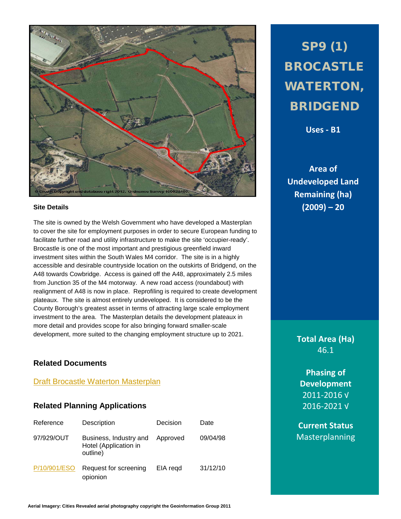

#### **Site Details**

The site is owned by the Welsh Government who have developed a Masterplan to cover the site for employment purposes in order to secure European funding to facilitate further road and utility infrastructure to make the site 'occupier-ready'. Brocastle is one of the most important and prestigious greenfield inward investment sites within the South Wales M4 corridor. The site is in a highly accessible and desirable countryside location on the outskirts of Bridgend, on the A48 towards Cowbridge. Access is gained off the A48, approximately 2.5 miles from Junction 35 of the M4 motorway. A new road access (roundabout) with realignment of A48 is now in place. Reprofiling is required to create development plateaux. The site is almost entirely undeveloped. It is considered to be the County Borough's greatest asset in terms of attracting large scale employment investment to the area. The Masterplan details the development plateaux in more detail and provides scope for also bringing forward smaller-scale development, more suited to the changing employment structure up to 2021.

### **Related Documents**

#### **[Draft Brocastle Waterton Masterplan](http://www1.bridgend.gov.uk/media/164445/SD68.pdf)**

#### **Related Planning Applications**

| Reference    | Description                                                 | Decision | Date     |
|--------------|-------------------------------------------------------------|----------|----------|
| 97/929/OUT   | Business, Industry and<br>Hotel (Application in<br>outline) | Approved | 09/04/98 |
| P/10/901/ESO | Request for screening<br>opionion                           | EIA regd | 31/12/10 |

SP9 (1) BROCASTLE WATERTON, BRIDGEND

**Uses - B1**

**Area of Undeveloped Land Remaining (ha) (2009) – 20**

> **Total Area (Ha)** 46.1

**Phasing of Development** 2011-2016 √ 2016-2021 √

**Current Status** Masterplanning